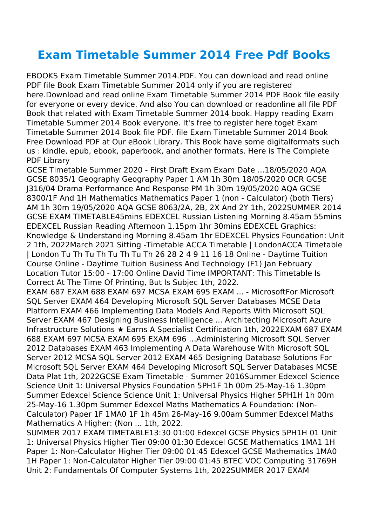## **Exam Timetable Summer 2014 Free Pdf Books**

EBOOKS Exam Timetable Summer 2014.PDF. You can download and read online PDF file Book Exam Timetable Summer 2014 only if you are registered here.Download and read online Exam Timetable Summer 2014 PDF Book file easily for everyone or every device. And also You can download or readonline all file PDF Book that related with Exam Timetable Summer 2014 book. Happy reading Exam Timetable Summer 2014 Book everyone. It's free to register here toget Exam Timetable Summer 2014 Book file PDF. file Exam Timetable Summer 2014 Book Free Download PDF at Our eBook Library. This Book have some digitalformats such us : kindle, epub, ebook, paperbook, and another formats. Here is The Complete PDF Library

GCSE Timetable Summer 2020 - First Draft Exam Exam Date ...18/05/2020 AQA GCSE 8035/1 Geography Geography Paper 1 AM 1h 30m 18/05/2020 OCR GCSE J316/04 Drama Performance And Response PM 1h 30m 19/05/2020 AQA GCSE 8300/1F And 1H Mathematics Mathematics Paper 1 (non - Calculator) (both Tiers) AM 1h 30m 19/05/2020 AQA GCSE 8063/2A, 2B, 2X And 2Y 1th, 2022SUMMER 2014 GCSE EXAM TIMETABLE45mins EDEXCEL Russian Listening Morning 8.45am 55mins EDEXCEL Russian Reading Afternoon 1.15pm 1hr 30mins EDEXCEL Graphics: Knowledge & Understanding Morning 8.45am 1hr EDEXCEL Physics Foundation: Unit 2 1th, 2022March 2021 Sitting -Timetable ACCA Timetable | LondonACCA Timetable | London Tu Th Tu Th Tu Th Tu Th 26 28 2 4 9 11 16 18 Online - Daytime Tuition Course Online - Daytime Tuition Business And Technology (F1) Jan February Location Tutor 15:00 - 17:00 Online David Time IMPORTANT: This Timetable Is Correct At The Time Of Printing, But Is Subjec 1th, 2022.

EXAM 687 EXAM 688 EXAM 697 MCSA EXAM 695 EXAM ... - MicrosoftFor Microsoft SQL Server EXAM 464 Developing Microsoft SQL Server Databases MCSE Data Platform EXAM 466 Implementing Data Models And Reports With Microsoft SQL Server EXAM 467 Designing Business Intelligence ... Architecting Microsoft Azure Infrastructure Solutions ★ Earns A Specialist Certification 1th, 2022EXAM 687 EXAM 688 EXAM 697 MCSA EXAM 695 EXAM 696 …Administering Microsoft SQL Server 2012 Databases EXAM 463 Implementing A Data Warehouse With Microsoft SQL Server 2012 MCSA SQL Server 2012 EXAM 465 Designing Database Solutions For Microsoft SQL Server EXAM 464 Developing Microsoft SQL Server Databases MCSE Data Plat 1th, 2022GCSE Exam Timetable - Summer 2016Summer Edexcel Science Science Unit 1: Universal Physics Foundation 5PH1F 1h 00m 25-May-16 1.30pm Summer Edexcel Science Science Unit 1: Universal Physics Higher 5PH1H 1h 00m 25-May-16 1.30pm Summer Edexcel Maths Mathematics A Foundation: (Non-Calculator) Paper 1F 1MA0 1F 1h 45m 26-May-16 9.00am Summer Edexcel Maths Mathematics A Higher: (Non ... 1th, 2022.

SUMMER 2017 EXAM TIMETABLE13:30 01:00 Edexcel GCSE Physics 5PH1H 01 Unit 1: Universal Physics Higher Tier 09:00 01:30 Edexcel GCSE Mathematics 1MA1 1H Paper 1: Non-Calculator Higher Tier 09:00 01:45 Edexcel GCSE Mathematics 1MA0 1H Paper 1: Non-Calculator Higher Tier 09:00 01:45 BTEC VOC Computing 31769H Unit 2: Fundamentals Of Computer Systems 1th, 2022SUMMER 2017 EXAM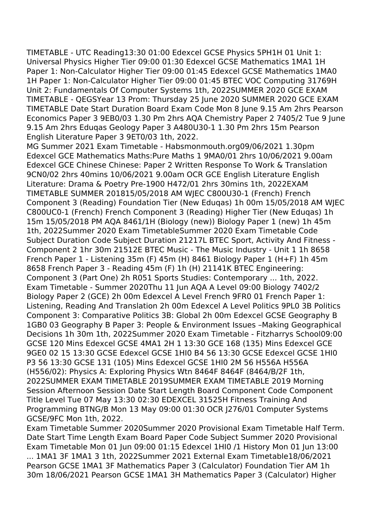TIMETABLE - UTC Reading13:30 01:00 Edexcel GCSE Physics 5PH1H 01 Unit 1: Universal Physics Higher Tier 09:00 01:30 Edexcel GCSE Mathematics 1MA1 1H Paper 1: Non-Calculator Higher Tier 09:00 01:45 Edexcel GCSE Mathematics 1MA0 1H Paper 1: Non-Calculator Higher Tier 09:00 01:45 BTEC VOC Computing 31769H Unit 2: Fundamentals Of Computer Systems 1th, 2022SUMMER 2020 GCE EXAM TIMETABLE - QEGSYear 13 Prom: Thursday 25 June 2020 SUMMER 2020 GCE EXAM TIMETABLE Date Start Duration Board Exam Code Mon 8 June 9.15 Am 2hrs Pearson Economics Paper 3 9EB0/03 1.30 Pm 2hrs AQA Chemistry Paper 2 7405/2 Tue 9 June 9.15 Am 2hrs Eduqas Geology Paper 3 A480U30-1 1.30 Pm 2hrs 15m Pearson English Literature Paper 3 9ET0/03 1th, 2022.

MG Summer 2021 Exam Timetable - Habsmonmouth.org09/06/2021 1.30pm Edexcel GCE Mathematics Maths:Pure Maths 1 9MA0/01 2hrs 10/06/2021 9.00am Edexcel GCE Chinese Chinese: Paper 2 Written Response To Work & Translation 9CN0/02 2hrs 40mins 10/06/2021 9.00am OCR GCE English Literature English Literature: Drama & Poetry Pre‐1900 H472/01 2hrs 30mins 1th, 2022EXAM TIMETABLE SUMMER 201815/05/2018 AM WJEC C800U30-1 (French) French Component 3 (Reading) Foundation Tier (New Eduqas) 1h 00m 15/05/2018 AM WJEC C800UC0-1 (French) French Component 3 (Reading) Higher Tier (New Eduqas) 1h 15m 15/05/2018 PM AQA 8461/1H (Biology (new)) Biology Paper 1 (new) 1h 45m 1th, 2022Summer 2020 Exam TimetableSummer 2020 Exam Timetable Code Subject Duration Code Subject Duration 21217L BTEC Sport, Activity And Fitness - Component 2 1hr 30m 21512E BTEC Music - The Music Industry - Unit 1 1h 8658 French Paper 1 - Listening 35m (F) 45m (H) 8461 Biology Paper 1 (H+F) 1h 45m 8658 French Paper 3 - Reading 45m (F) 1h (H) 21141K BTEC Engineering: Component 3 (Part One) 2h R051 Sports Studies: Contemporary ... 1th, 2022. Exam Timetable - Summer 2020Thu 11 Jun AQA A Level 09:00 Biology 7402/2 Biology Paper 2 (GCE) 2h 00m Edexcel A Level French 9FR0 01 French Paper 1: Listening, Reading And Translation 2h 00m Edexcel A Level Politics 9PL0 3B Politics Component 3: Comparative Politics 3B: Global 2h 00m Edexcel GCSE Geography B 1GB0 03 Geography B Paper 3: People & Environment Issues –Making Geographical Decisions 1h 30m 1th, 2022Summer 2020 Exam Timetable - Fitzharrys School09:00 GCSE 120 Mins Edexcel GCSE 4MA1 2H 1 13:30 GCE 168 (135) Mins Edexcel GCE 9GE0 02 15 13:30 GCSE Edexcel GCSE 1HI0 B4 56 13:30 GCSE Edexcel GCSE 1HI0 P3 56 13:30 GCSE 131 (105) Mins Edexcel GCSE 1HI0 2M 56 H556A H556A (H556/02): Physics A: Exploring Physics Wtn 8464F 8464F (8464/B/2F 1th, 2022SUMMER EXAM TIMETABLE 2019SUMMER EXAM TIMETABLE 2019 Morning Session Afternoon Session Date Start Length Board Component Code Component Title Level Tue 07 May 13:30 02:30 EDEXCEL 31525H Fitness Training And Programming BTNG/B Mon 13 May 09:00 01:30 OCR J276/01 Computer Systems GCSE/9FC Mon 1th, 2022.

Exam Timetable Summer 2020Summer 2020 Provisional Exam Timetable Half Term. Date Start Time Length Exam Board Paper Code Subject Summer 2020 Provisional Exam Timetable Mon 01 Jun 09:00 01:15 Edexcel 1HI0 /1 History Mon 01 Jun 13:00 ... 1MA1 3F 1MA1 3 1th, 2022Summer 2021 External Exam Timetable18/06/2021 Pearson GCSE 1MA1 3F Mathematics Paper 3 (Calculator) Foundation Tier AM 1h 30m 18/06/2021 Pearson GCSE 1MA1 3H Mathematics Paper 3 (Calculator) Higher